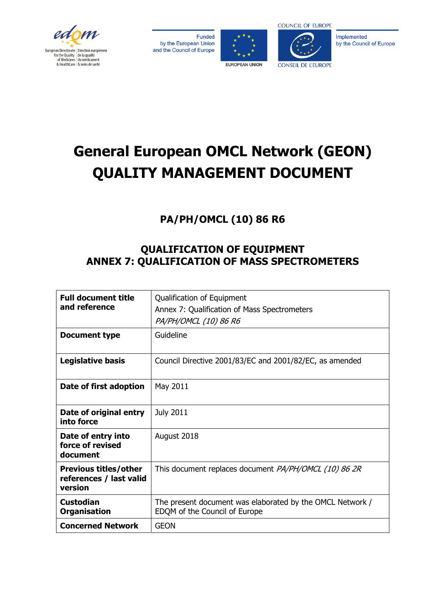

Funded by the European Union and the Council of Europe





Implemented by the Council of Europe

# **General European OMCL Network (GEON) QUALITY MANAGEMENT DOCUMENT**

# **PA/PH/OMCL (10) 86 R6**

# **QUALIFICATION OF EQUIPMENT ANNEX 7: QUALIFICATION OF MASS SPECTROMETERS**

| <b>Full document title</b><br>and reference                        | Qualification of Equipment<br>Annex 7: Qualification of Mass Spectrometers<br>PA/PH/OMCL (10) 86 R6 |
|--------------------------------------------------------------------|-----------------------------------------------------------------------------------------------------|
| Document type                                                      | Guideline                                                                                           |
| Legislative basis                                                  | Council Directive 2001/83/EC and 2001/82/EC, as amended                                             |
| Date of first adoption                                             | May 2011                                                                                            |
| Date of original entry<br>into force                               | <b>July 2011</b>                                                                                    |
| Date of entry into<br>force of revised<br>document                 | August 2018                                                                                         |
| <b>Previous titles/other</b><br>references / last valid<br>version | This document replaces document PA/PH/OMCL (10) 86 2R                                               |
| <b>Custodian</b><br><b>Organisation</b>                            | The present document was elaborated by the OMCL Network /<br>EDQM of the Council of Europe          |
| <b>Concerned Network</b>                                           | <b>GEON</b>                                                                                         |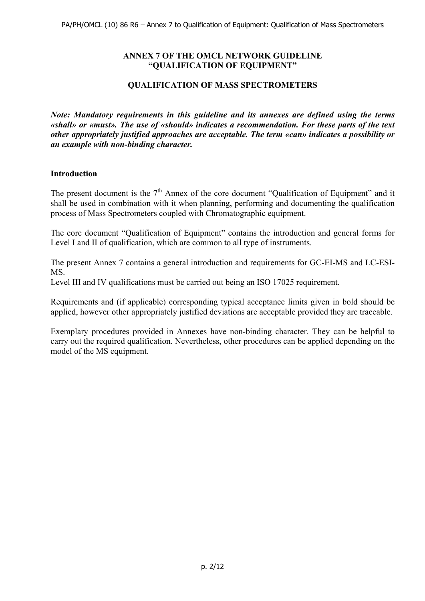# **ANNEX 7 OF THE OMCL NETWORK GUIDELINE "QUALIFICATION OF EQUIPMENT"**

# **QUALIFICATION OF MASS SPECTROMETERS**

*Note: Mandatory requirements in this guideline and its annexes are defined using the terms «shall» or «must». The use of «should» indicates a recommendation. For these parts of the text other appropriately justified approaches are acceptable. The term «can» indicates a possibility or an example with non-binding character.*

# **Introduction**

The present document is the  $7<sup>th</sup>$  Annex of the core document "Qualification of Equipment" and it shall be used in combination with it when planning, performing and documenting the qualification process of Mass Spectrometers coupled with Chromatographic equipment.

The core document "Qualification of Equipment" contains the introduction and general forms for Level I and II of qualification, which are common to all type of instruments.

The present Annex 7 contains a general introduction and requirements for GC-EI-MS and LC-ESI-MS.

Level III and IV qualifications must be carried out being an ISO 17025 requirement.

Requirements and (if applicable) corresponding typical acceptance limits given in bold should be applied, however other appropriately justified deviations are acceptable provided they are traceable.

Exemplary procedures provided in Annexes have non-binding character. They can be helpful to carry out the required qualification. Nevertheless, other procedures can be applied depending on the model of the MS equipment.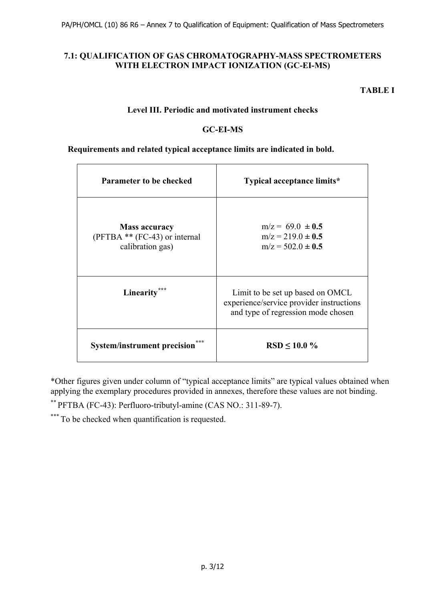# **7.1: QUALIFICATION OF GAS CHROMATOGRAPHY-MASS SPECTROMETERS WITH ELECTRON IMPACT IONIZATION (GC-EI-MS)**

**TABLE I** 

# **Level III. Periodic and motivated instrument checks**

# **GC-EI-MS**

#### **Requirements and related typical acceptance limits are indicated in bold.**

| <b>Parameter to be checked</b>                                               | Typical acceptance limits*                                                                                         |  |
|------------------------------------------------------------------------------|--------------------------------------------------------------------------------------------------------------------|--|
| <b>Mass accuracy</b><br>$(PFTBA ** (FC-43) or internal)$<br>calibration gas) | $m/z = 69.0 \pm 0.5$<br>$m/z = 219.0 \pm 0.5$<br>$m/z = 502.0 \pm 0.5$                                             |  |
| Linearity                                                                    | Limit to be set up based on OMCL<br>experience/service provider instructions<br>and type of regression mode chosen |  |
| <b>System/instrument precision</b>                                           | $RSD \le 10.0 \%$                                                                                                  |  |

\*Other figures given under column of "typical acceptance limits" are typical values obtained when applying the exemplary procedures provided in annexes, therefore these values are not binding.

\*\* PFTBA (FC-43): Perfluoro-tributyl-amine (CAS NO.: 311-89-7).

\*\*\*\* To be checked when quantification is requested.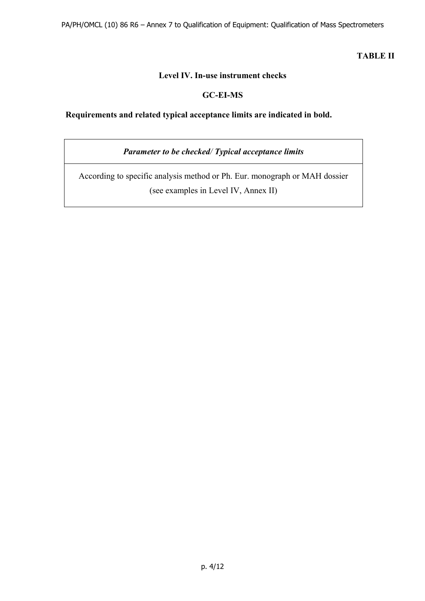# **TABLE II**

# **Level IV. In-use instrument checks**

# **GC-EI-MS**

# **Requirements and related typical acceptance limits are indicated in bold.**

*Parameter to be checked/ Typical acceptance limits* 

According to specific analysis method or Ph. Eur. monograph or MAH dossier (see examples in Level IV, Annex II)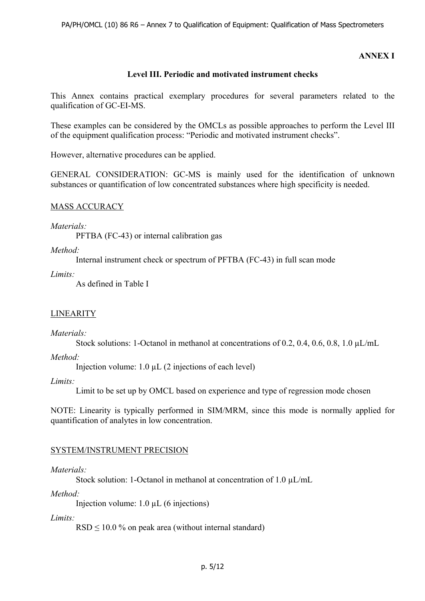# **ANNEX I**

# **Level III. Periodic and motivated instrument checks**

This Annex contains practical exemplary procedures for several parameters related to the qualification of GC-EI-MS.

These examples can be considered by the OMCLs as possible approaches to perform the Level III of the equipment qualification process: "Periodic and motivated instrument checks".

However, alternative procedures can be applied.

GENERAL CONSIDERATION: GC-MS is mainly used for the identification of unknown substances or quantification of low concentrated substances where high specificity is needed.

# MASS ACCURACY

#### *Materials:*

PFTBA (FC-43) or internal calibration gas

# *Method:*

Internal instrument check or spectrum of PFTBA (FC-43) in full scan mode

*Limits:* 

As defined in Table I

#### **LINEARITY**

#### *Materials:*

Stock solutions: 1-Octanol in methanol at concentrations of 0.2, 0.4, 0.6, 0.8, 1.0  $\mu L/mL$ 

*Method:* 

Injection volume: 1.0 µL (2 injections of each level)

#### *Limits:*

Limit to be set up by OMCL based on experience and type of regression mode chosen

NOTE: Linearity is typically performed in SIM/MRM, since this mode is normally applied for quantification of analytes in low concentration.

#### SYSTEM/INSTRUMENT PRECISION

#### *Materials:*

Stock solution: 1-Octanol in methanol at concentration of 1.0  $\mu$ L/mL

#### *Method:*

Injection volume: 1.0 µL (6 injections)

#### *Limits:*

 $RSD < 10.0$  % on peak area (without internal standard)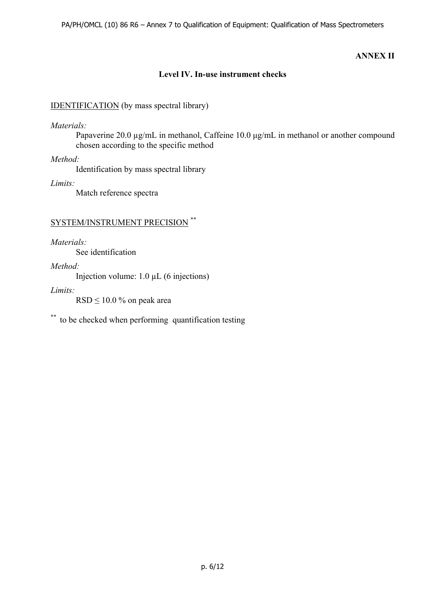# **ANNEX II**

# **Level IV. In-use instrument checks**

# IDENTIFICATION (by mass spectral library)

*Materials:* 

Papaverine 20.0 µg/mL in methanol, Caffeine 10.0 μg/mL in methanol or another compound chosen according to the specific method

*Method:* 

Identification by mass spectral library

*Limits:*

Match reference spectra

# SYSTEM/INSTRUMENT PRECISION \*\*

*Materials:* 

See identification

*Method:* 

Injection volume: 1.0 µL (6 injections)

*Limits:* 

 $RSD \leq 10.0$  % on peak area

\*\* to be checked when performing quantification testing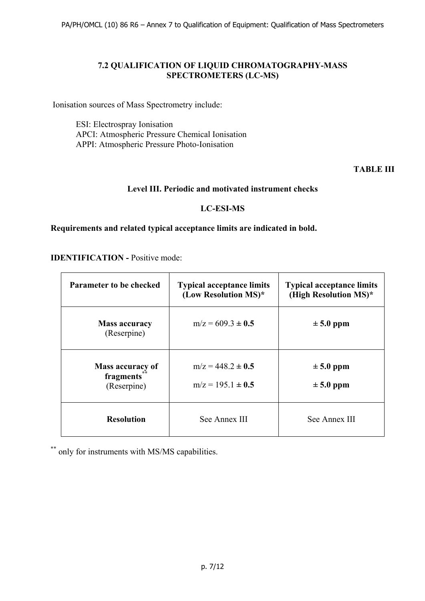PA/PH/OMCL (10) 86 R6 – Annex 7 to Qualification of Equipment: Qualification of Mass Spectrometers

# **7.2 QUALIFICATION OF LIQUID CHROMATOGRAPHY-MASS SPECTROMETERS (LC-MS)**

Ionisation sources of Mass Spectrometry include:

ESI: Electrospray Ionisation APCI: Atmospheric Pressure Chemical Ionisation APPI: Atmospheric Pressure Photo-Ionisation

**TABLE III**

# **Level III. Periodic and motivated instrument checks**

# **LC-ESI-MS**

#### **Requirements and related typical acceptance limits are indicated in bold.**

**IDENTIFICATION - Positive mode:** 

| <b>Parameter to be checked</b>                      | <b>Typical acceptance limits</b><br>(Low Resolution $MS$ )* | <b>Typical acceptance limits</b><br>(High Resolution MS)* |
|-----------------------------------------------------|-------------------------------------------------------------|-----------------------------------------------------------|
| <b>Mass accuracy</b><br>(Reserpine)                 | $m/z = 609.3 \pm 0.5$                                       | $\pm$ 5.0 ppm                                             |
| <b>Mass accuracy of</b><br>fragments<br>(Reserpine) | $m/z = 448.2 \pm 0.5$<br>$m/z = 195.1 \pm 0.5$              | $\pm$ 5.0 ppm<br>$\pm$ 5.0 ppm                            |
| <b>Resolution</b>                                   | See Annex III                                               | See Annex III                                             |

\*\* only for instruments with MS/MS capabilities.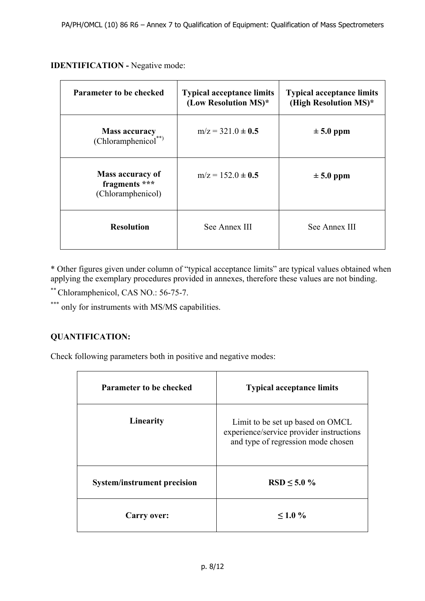# **IDENTIFICATION - Negative mode:**

| <b>Parameter to be checked</b>                                | <b>Typical acceptance limits</b><br>(Low Resolution MS)* | <b>Typical acceptance limits</b><br>(High Resolution MS)* |
|---------------------------------------------------------------|----------------------------------------------------------|-----------------------------------------------------------|
| <b>Mass accuracy</b><br>(Chloramphenicol**)                   | $m/z = 321.0 \pm 0.5$                                    | $\pm 5.0$ ppm                                             |
| <b>Mass accuracy of</b><br>fragments ***<br>(Chloramphenicol) | $m/z = 152.0 \pm 0.5$                                    | $\pm$ 5.0 ppm                                             |
| <b>Resolution</b>                                             | See Annex III                                            | See Annex III                                             |

\* Other figures given under column of "typical acceptance limits" are typical values obtained when applying the exemplary procedures provided in annexes, therefore these values are not binding.

\*\* Chloramphenicol, CAS NO.: 56-75-7.

\*\*\* only for instruments with MS/MS capabilities.

# **QUANTIFICATION:**

Check following parameters both in positive and negative modes:

| <b>Parameter to be checked</b>     | <b>Typical acceptance limits</b>                                                                                   |  |
|------------------------------------|--------------------------------------------------------------------------------------------------------------------|--|
| Linearity                          | Limit to be set up based on OMCL<br>experience/service provider instructions<br>and type of regression mode chosen |  |
| <b>System/instrument precision</b> | $RSD \le 5.0 \%$                                                                                                   |  |
| <b>Carry over:</b>                 | $\leq 1.0 \%$                                                                                                      |  |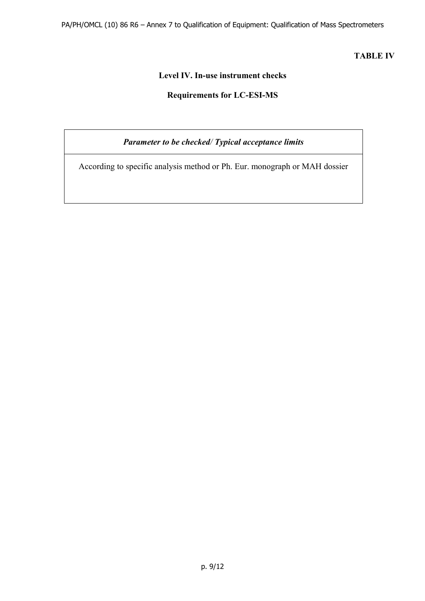PA/PH/OMCL (10) 86 R6 – Annex 7 to Qualification of Equipment: Qualification of Mass Spectrometers

**TABLE IV** 

# **Level IV. In-use instrument checks**

# **Requirements for LC-ESI-MS**

*Parameter to be checked/ Typical acceptance limits* 

According to specific analysis method or Ph. Eur. monograph or MAH dossier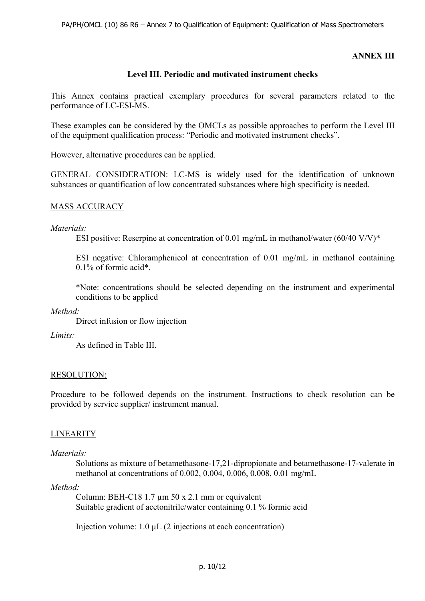# **ANNEX III**

# **Level III. Periodic and motivated instrument checks**

This Annex contains practical exemplary procedures for several parameters related to the performance of LC-ESI-MS.

These examples can be considered by the OMCLs as possible approaches to perform the Level III of the equipment qualification process: "Periodic and motivated instrument checks".

However, alternative procedures can be applied.

GENERAL CONSIDERATION: LC-MS is widely used for the identification of unknown substances or quantification of low concentrated substances where high specificity is needed.

#### MASS ACCURACY

#### *Materials:*

ESI positive: Reserpine at concentration of 0.01 mg/mL in methanol/water  $(60/40 \text{ V/V})^*$ 

ESI negative: Chloramphenicol at concentration of 0.01 mg/mL in methanol containing 0.1% of formic acid\*.

\*Note: concentrations should be selected depending on the instrument and experimental conditions to be applied

*Method:* 

Direct infusion or flow injection

*Limits:* 

As defined in Table III.

#### RESOLUTION:

Procedure to be followed depends on the instrument. Instructions to check resolution can be provided by service supplier/ instrument manual.

#### LINEARITY

#### *Materials:*

Solutions as mixture of betamethasone-17,21-dipropionate and betamethasone-17-valerate in methanol at concentrations of 0.002, 0.004, 0.006, 0.008, 0.01 mg/mL

#### *Method:*

Column: BEH-C18 1.7  $\mu$ m 50 x 2.1 mm or equivalent Suitable gradient of acetonitrile/water containing 0.1 % formic acid

Injection volume: 1.0 µL (2 injections at each concentration)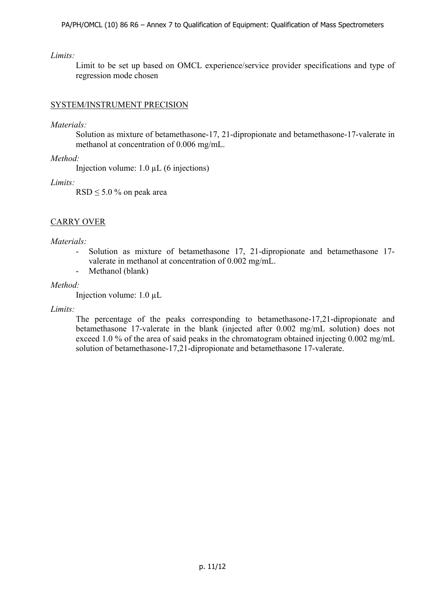## *Limits:*

Limit to be set up based on OMCL experience/service provider specifications and type of regression mode chosen

# SYSTEM/INSTRUMENT PRECISION

# *Materials:*

Solution as mixture of betamethasone-17, 21-dipropionate and betamethasone-17-valerate in methanol at concentration of 0.006 mg/mL.

*Method:* 

Injection volume: 1.0 µL (6 injections)

*Limits:* 

 $RSD \le 5.0$  % on peak area

# CARRY OVER

# *Materials:*

- Solution as mixture of betamethasone 17, 21-dipropionate and betamethasone 17 valerate in methanol at concentration of 0.002 mg/mL.
- Methanol (blank)

#### *Method:*

Injection volume: 1.0 µL

#### *Limits:*

The percentage of the peaks corresponding to betamethasone-17,21-dipropionate and betamethasone 17-valerate in the blank (injected after 0.002 mg/mL solution) does not exceed 1.0 % of the area of said peaks in the chromatogram obtained injecting 0.002 mg/mL solution of betamethasone-17,21-dipropionate and betamethasone 17-valerate.